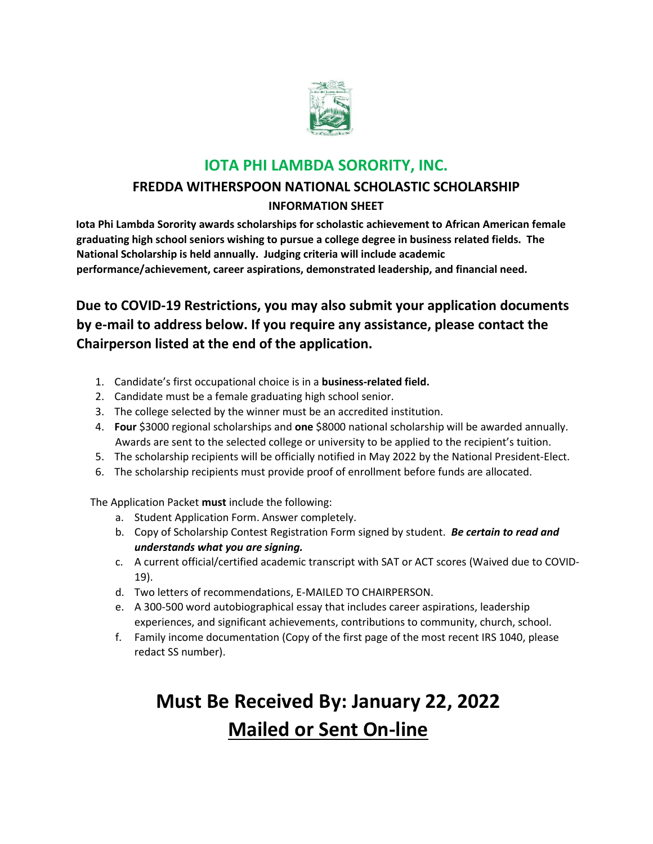

### **IOTA PHI LAMBDA SORORITY, INC.**

### **FREDDA WITHERSPOON NATIONAL SCHOLASTIC SCHOLARSHIP**

#### **INFORMATION SHEET**

**Iota Phi Lambda Sorority awards scholarships for scholastic achievement to African American female graduating high school seniors wishing to pursue a college degree in business related fields. The National Scholarship is held annually. Judging criteria will include academic performance/achievement, career aspirations, demonstrated leadership, and financial need.** 

### **Due to COVID-19 Restrictions, you may also submit your application documents by e-mail to address below. If you require any assistance, please contact the Chairperson listed at the end of the application.**

- 1. Candidate's first occupational choice is in a **business-related field.**
- 2. Candidate must be a female graduating high school senior.
- 3. The college selected by the winner must be an accredited institution.
- 4. **Four** \$3000 regional scholarships and **one** \$8000 national scholarship will be awarded annually. Awards are sent to the selected college or university to be applied to the recipient's tuition.
- 5. The scholarship recipients will be officially notified in May 2022 by the National President-Elect.
- 6. The scholarship recipients must provide proof of enrollment before funds are allocated.

The Application Packet **must** include the following:

- a. Student Application Form. Answer completely.
- b. Copy of Scholarship Contest Registration Form signed by student. *Be certain to read and understands what you are signing.*
- c. A current official/certified academic transcript with SAT or ACT scores (Waived due to COVID-19).
- d. Two letters of recommendations, E-MAILED TO CHAIRPERSON.
- e. A 300-500 word autobiographical essay that includes career aspirations, leadership experiences, and significant achievements, contributions to community, church, school.
- f. Family income documentation (Copy of the first page of the most recent IRS 1040, please redact SS number).

# **Must Be Received By: January 22, 2022 Mailed or Sent On-line**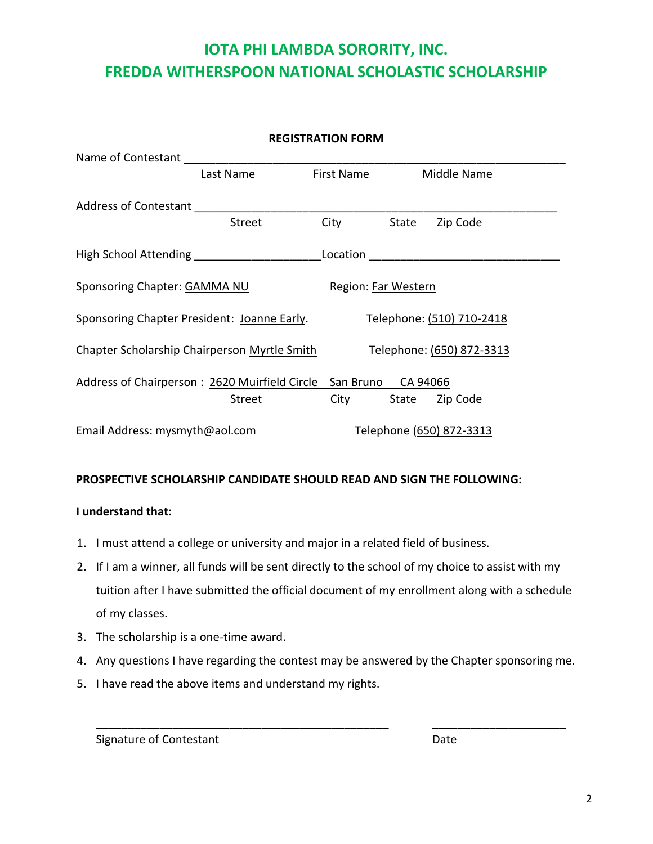## **IOTA PHI LAMBDA SORORITY, INC. FREDDA WITHERSPOON NATIONAL SCHOLASTIC SCHOLARSHIP**

| <b>REGISTRATION FORM</b>                                         |               |                   |                           |                                                 |  |
|------------------------------------------------------------------|---------------|-------------------|---------------------------|-------------------------------------------------|--|
| Name of Contestant                                               |               |                   |                           |                                                 |  |
|                                                                  | Last Name     | <b>First Name</b> |                           | <b>Middle Name</b>                              |  |
| Address of Contestant                                            |               |                   |                           |                                                 |  |
|                                                                  | <b>Street</b> | City              | State                     | Zip Code                                        |  |
|                                                                  |               |                   |                           | Location <u>_______________________________</u> |  |
| Sponsoring Chapter: GAMMA NU                                     |               |                   | Region: Far Western       |                                                 |  |
| Sponsoring Chapter President: Joanne Early.                      |               |                   | Telephone: (510) 710-2418 |                                                 |  |
| Chapter Scholarship Chairperson Myrtle Smith                     |               |                   | Telephone: (650) 872-3313 |                                                 |  |
| Address of Chairperson: 2620 Muirfield Circle San Bruno CA 94066 |               |                   |                           |                                                 |  |
|                                                                  | <b>Street</b> | City              |                           | State Zip Code                                  |  |
| Email Address: mysmyth@aol.com                                   |               |                   | Telephone (650) 872-3313  |                                                 |  |

#### **PROSPECTIVE SCHOLARSHIP CANDIDATE SHOULD READ AND SIGN THE FOLLOWING:**

#### **I understand that:**

- 1. I must attend a college or university and major in a related field of business.
- 2. If I am a winner, all funds will be sent directly to the school of my choice to assist with my tuition after I have submitted the official document of my enrollment along with a schedule of my classes.
- 3. The scholarship is a one-time award.
- 4. Any questions I have regarding the contest may be answered by the Chapter sponsoring me.

\_\_\_\_\_\_\_\_\_\_\_\_\_\_\_\_\_\_\_\_\_\_\_\_\_\_\_\_\_\_\_\_\_\_\_\_\_\_\_\_\_\_\_\_\_\_ \_\_\_\_\_\_\_\_\_\_\_\_\_\_\_\_\_\_\_\_\_

5. I have read the above items and understand my rights.

Signature of Contestant **Date** Date **Date**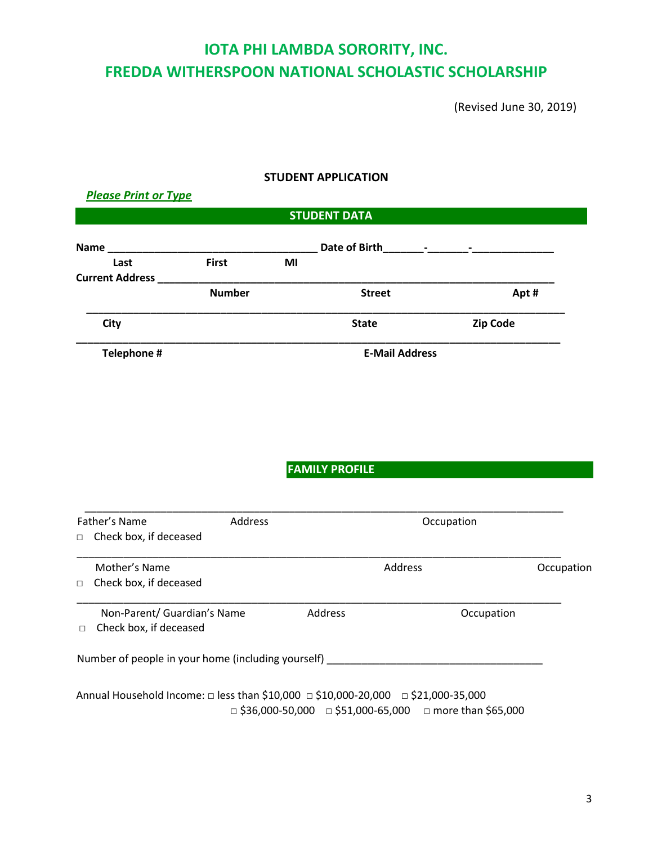## **IOTA PHI LAMBDA SORORITY, INC. FREDDA WITHERSPOON NATIONAL SCHOLASTIC SCHOLARSHIP**

(Revised June 30, 2019)

## **STUDENT APPLICATION**  *Please Print or Type* **STUDENT DATA Name a name 1** *n* **1** *n name* **<b>1** *n n n n n n n n n n n n n n n n n n n n n n n n n n n n n*  **Last First MI Current Address Number** Street Street Apt # **\_\_\_\_\_\_\_\_\_\_\_\_\_\_\_\_\_\_\_\_\_\_\_\_\_\_\_\_\_\_\_\_\_\_\_\_\_\_\_\_\_\_\_\_\_\_\_\_\_\_\_\_\_\_\_\_\_\_\_\_\_\_\_\_\_\_\_\_\_\_\_\_\_\_\_\_\_\_\_\_\_\_ City City City City City City City Code Zip Code \_\_\_\_\_\_\_\_\_\_\_\_\_\_\_\_\_\_\_\_\_\_\_\_\_\_\_\_\_\_\_\_\_\_\_\_\_\_\_\_\_\_\_\_\_\_\_\_\_\_\_\_\_\_\_\_\_\_\_\_\_\_\_\_\_\_\_\_\_\_\_\_\_\_\_\_\_\_\_\_\_\_\_ Telephone # E-Mail Address FAMILY PROFILE** \_\_\_\_\_\_\_\_\_\_\_\_\_\_\_\_\_\_\_\_\_\_\_\_\_\_\_\_\_\_\_\_\_\_\_\_\_\_\_\_\_\_\_\_\_\_\_\_\_\_\_\_\_\_\_\_\_\_\_\_\_\_\_\_\_\_\_\_\_\_\_\_\_\_\_\_\_\_\_\_\_\_ Father's Name **Address** Address **Communist Contract Address Communist Communist Communist Communist Communist Communist Communist Communist Communist Communist Communist Communist Communist Communist Communist Communist** □ Check box, if deceased \_\_\_\_\_\_\_\_\_\_\_\_\_\_\_\_\_\_\_\_\_\_\_\_\_\_\_\_\_\_\_\_\_\_\_\_\_\_\_\_\_\_\_\_\_\_\_\_\_\_\_\_\_\_\_\_\_\_\_\_\_\_\_\_\_\_\_\_\_\_\_\_\_\_\_\_\_\_\_\_\_\_\_ Mother's Name **Address Communist Example 2** Address **Communist Properties Communist Properties Communist Properties** □ Check box, if deceased \_\_\_\_\_\_\_\_\_\_\_\_\_\_\_\_\_\_\_\_\_\_\_\_\_\_\_\_\_\_\_\_\_\_\_\_\_\_\_\_\_\_\_\_\_\_\_\_\_\_\_\_\_\_\_\_\_\_\_\_\_\_\_\_\_\_\_\_\_\_\_\_\_\_\_\_\_\_\_\_\_\_\_ Non-Parent/ Guardian's Name Address and Address and Address occupation □ Check box, if deceased Number of people in your home (including yourself) \_\_\_\_\_\_\_\_\_\_\_\_\_\_\_\_\_\_\_\_\_\_\_\_\_\_\_\_\_

Annual Household Income: □ less than \$10,000 □ \$10,000-20,000 □ \$21,000-35,000  $\Box$  \$36,000-50,000  $\Box$  \$51,000-65,000  $\Box$  more than \$65,000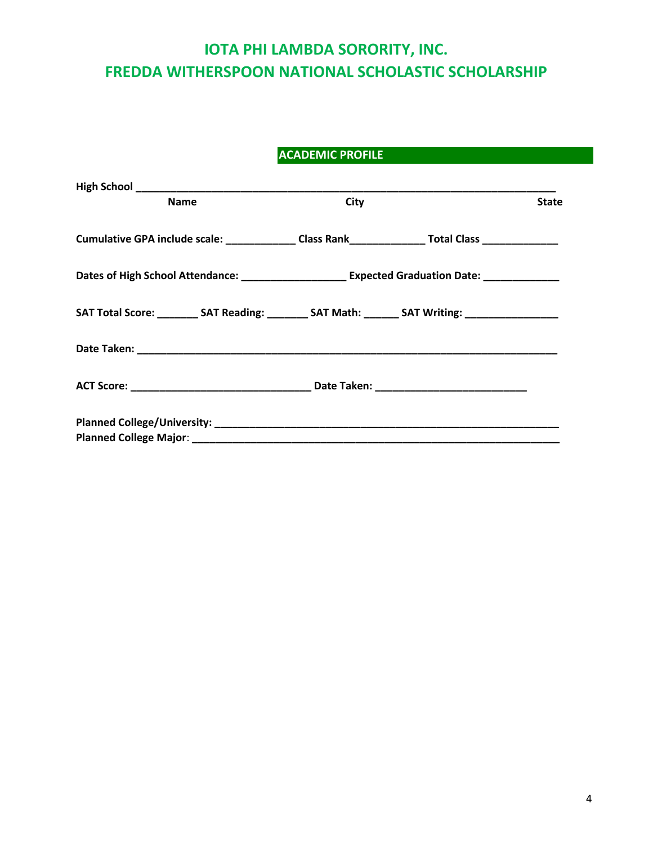## **IOTA PHI LAMBDA SORORITY, INC. FREDDA WITHERSPOON NATIONAL SCHOLASTIC SCHOLARSHIP**

### **ACADEMIC PROFILE**

| <b>Name</b>                                                                                         | City | <b>State</b> |
|-----------------------------------------------------------------------------------------------------|------|--------------|
| Cumulative GPA include scale: _______________Class Rank________________Total Class ________________ |      |              |
| Dates of High School Attendance: _______________________ Expected Graduation Date: _______________  |      |              |
| SAT Total Score: __________ SAT Reading: _________ SAT Math: _______ SAT Writing: _________________ |      |              |
|                                                                                                     |      |              |
|                                                                                                     |      |              |
|                                                                                                     |      |              |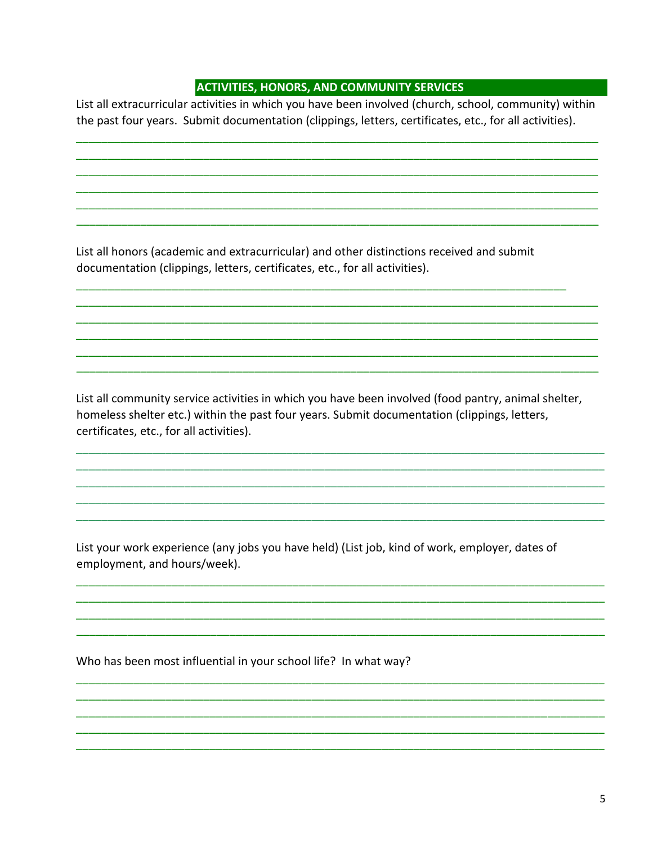#### **ACTIVITIES, HONORS, AND COMMUNITY SERVICES**

List all extracurricular activities in which you have been involved (church, school, community) within the past four years. Submit documentation (clippings, letters, certificates, etc., for all activities).

List all honors (academic and extracurricular) and other distinctions received and submit documentation (clippings, letters, certificates, etc., for all activities).

List all community service activities in which you have been involved (food pantry, animal shelter, homeless shelter etc.) within the past four years. Submit documentation (clippings, letters, certificates, etc., for all activities).

List your work experience (any jobs you have held) (List job, kind of work, employer, dates of employment, and hours/week).

Who has been most influential in your school life? In what way?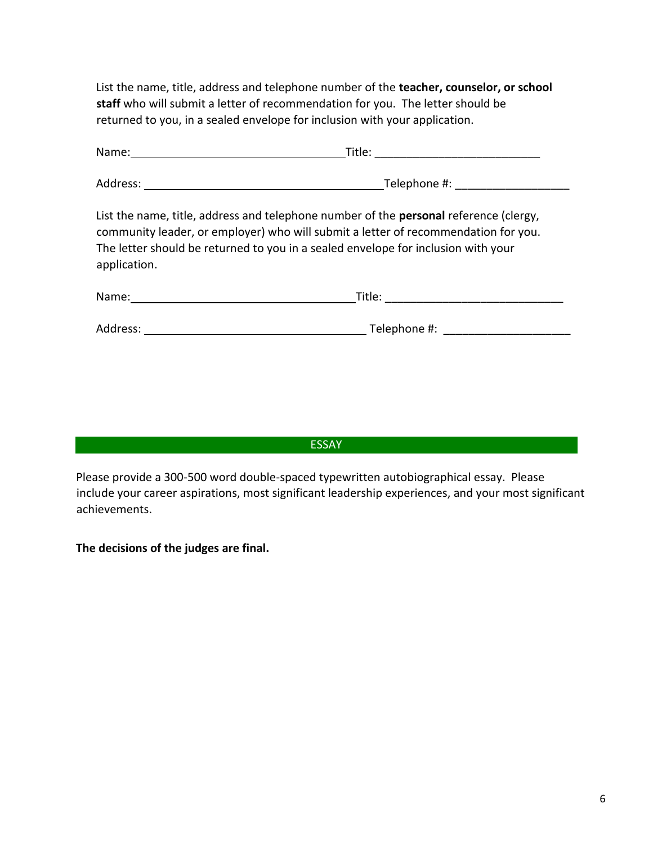List the name, title, address and telephone number of the **teacher, counselor, or school staff** who will submit a letter of recommendation for you. The letter should be returned to you, in a sealed envelope for inclusion with your application.

| List the name, title, address and telephone number of the <b>personal</b> reference (clergy,<br>community leader, or employer) who will submit a letter of recommendation for you.<br>The letter should be returned to you in a sealed envelope for inclusion with your<br>application. |                                |  |  |  |  |
|-----------------------------------------------------------------------------------------------------------------------------------------------------------------------------------------------------------------------------------------------------------------------------------------|--------------------------------|--|--|--|--|
|                                                                                                                                                                                                                                                                                         |                                |  |  |  |  |
| Address:                                                                                                                                                                                                                                                                                | Telephone #: _________________ |  |  |  |  |

ESSAY

Please provide a 300-500 word double-spaced typewritten autobiographical essay. Please include your career aspirations, most significant leadership experiences, and your most significant achievements.

**The decisions of the judges are final.**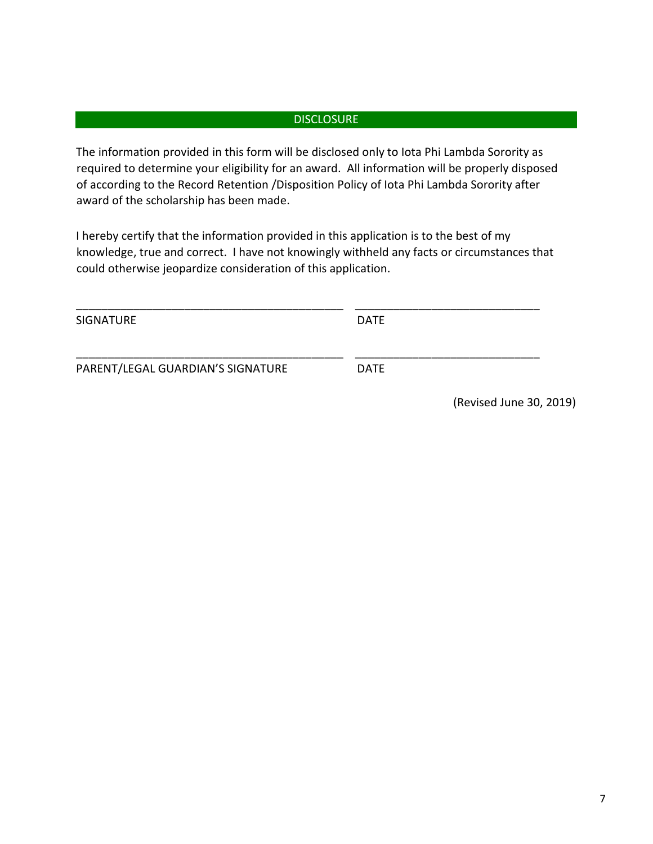#### **DISCLOSURE**

The information provided in this form will be disclosed only to Iota Phi Lambda Sorority as required to determine your eligibility for an award. All information will be properly disposed of according to the Record Retention /Disposition Policy of Iota Phi Lambda Sorority after award of the scholarship has been made.

I hereby certify that the information provided in this application is to the best of my knowledge, true and correct. I have not knowingly withheld any facts or circumstances that could otherwise jeopardize consideration of this application.

| <b>SIGNATURE</b>                  | <b>DATE</b> |                         |  |
|-----------------------------------|-------------|-------------------------|--|
| PARENT/LEGAL GUARDIAN'S SIGNATURE | <b>DATE</b> |                         |  |
|                                   |             | (Revised June 30, 2019) |  |